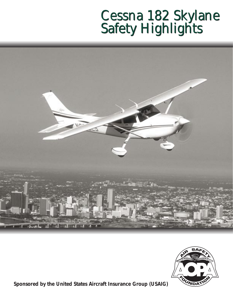# Cessna 182 Skylane Safety Highlights Cessna 182 Skylane Safety Highlights





*Sponsored by the United States Aircraft Insurance Group (USAIG)*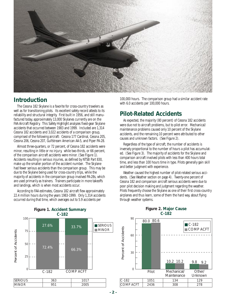

# **Introduction**

The Cessna 182 Skylane is a favorite for cross-country travelers as well as for transitioning pilots. Its excellent safety record attests to its reliability and structural integrity. First built in 1956, and still manufactured today, approximately 13,000 Skylanes currently are on the FAA Aircraft Registry. This Safety Highlight analyzes fixed-gear Skylane accidents that occurred between 1983 and 1999. Included are 1,314 Cessna 182 accidents and 3,022 accidents of a comparison group, comprised of the following aircraft: Cessna 177 Cardinal, Cessna 205, Cessna 206, Cessna 207, Gulfstream American AA-5, and Piper PA-28.

Almost three-quarters, or 72 percent, of Cessna 182 accidents were minor, resulting in little or no injury, while two-thirds, or 66 percent, of the comparison aircraft accidents were minor. (See Figure 1). Accidents resulting in serious injuries, as defined by NTSB Part 830, make up the smaller portion of the accident number. The Skylane had fewer serious accidents than the comparison group. This may be due to the Skylane being used for cross-country trips, while the majority of accidents in the comparison group involved PA-28s, which are used primarily as trainers. Trainers participate in more takeoffs and landings, which is when most accidents occur.

According to FAA estimates, Cessna 182 aircraft flew approximately 22.4 million hours during the years 1983-1999. Only 1,314 accidents occurred during that time, which averages out to 5.9 accidents per

100,000 hours. The comparison group had a similar accident rate with 6.0 accidents per 100,000 hours.

# **Pilot-Related Accidents**

As expected, the majority (80 percent) of Cessna 182 accidents were due not to aircraft problems, but to pilot error. Mechanical/ maintenance problems caused only 10 percent of the Skylane accidents, and the remaining 10 percent were attributed to other causes and unknown factors. (See Figure 2).

Regardless of the type of aircraft, the number of accidents is inversely proportional to the number of hours a pilot has accumulated. (See Figure 3). The majority of accidents for the Skylane and comparison aircraft involved pilots with less than 400 hours total time, and less than 100 hours time in type. Pilots generally gain skill and better judgment with experience.

Weather caused the highest number of pilot-related serious accidents. (See Weather section on page 4). Twenty-one percent of Cessna 182 and comparison aircraft serious accidents were due to poor pilot decision making and judgment regarding the weather. Pilots frequently choose the Skylane as one of their first cross-country airplanes and thus learn, some of them the hard way, about flying through weather systems.



### **Figure 2. Major Cause C-182**

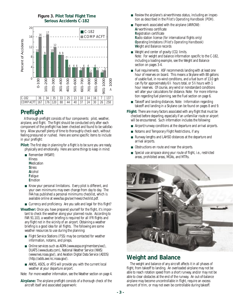

### **Figure 3. Pilot Total Flight Time Serious Accidents C-182**

# **Preflight**

A thorough preflight consists of four components: pilot, weather, airplane, and flight. The flight should be conducted only after each component of the preflight has been checked and found to be satisfactory. Allow yourself plenty of time to thoroughly check each, without feeling pressured or rushed. Here are some specific items to include in your preflight:

**Pilot:** The first step in planning for a flight is to be sure you are ready, physically and emotionally. Here are some things to keep in mind:

- Remember IMSAFE: **I**llness **M**edication **S**tress **A**lcohol **F**atigue
	- **E**motion
- Know your personal limitations. Every pilot is different, and your own minimums may even change from day to day. The FAA has published a personal minimums checklist, which is available online at www.faa.gov/avr/news/checklst.pdf.
- Currency and proficiency. Are you safe and legal for this flight?

**Weather:** Once you have prepared yourself for the flight, it's important to check the weather along your planned route. According to FAR 91.103, a weather briefing is required for all IFR flights and any flight not in the vicinity of an airport. Obtaining a weather briefing is a good idea for all flights. The following are some weather resources to use during the planning:

- Flight Service Stations (FSS) may be contacted for weather information, notams, and pireps.
- Online services such as AOPA (www.aopa.org/members/wx/), DUATS (www.duats.com), National Weather Service (NWS) (www.nws.noaa.gov/), and Aviation Digital Data Service (ADDS) (http://adds.awc-kc.noaa.gov/).
- AWOS, ASOS, or ATIS will provide you with the current local weather at your departure airport.

Note: For more weather information, see the Weather section on page 4.

**Airplane:** The airplane preflight consists of a thorough check of the aircraft itself and associated paperwork:

- Review the airplane's airworthiness status, including an inspection as described in the *Pilot's Operating Handbook* (POH).
- Paperwork associated with the airplane (ARROW): **A**irworthiness certificate **R**egistration certificate **R**adio station license (for international flights only) **O**perating limitations (*Pilot's Operating Handbook*) **W**eight and Balance records
- Weight and center of gravity (CG) limits. Note: For weight and balance information specific to the C-182, including a loading example, see the Weight and Balance section on pages 3-4.
- Fuel requirements. ASF recommends landing with at least one hour of reserves on board. This means a Skylane with 88 gallons of usable fuel, in no-wind conditions, and a fuel burn of 13.0 gph can fly for approximately 6% hours total, or 5% hours with 1 hour reserves. Of course, any wind or nonstandard conditions will alter your calculations for distance. Note: For more information regarding fuel planning, see the Fuel section on page 6.
- Takeoff and landing distances. Note: Information regarding takeoff and landing in a Skylane can be found on pages 8 and 9.

**Flight:** There are many factors associated with any flight that must be checked before departing, especially if an unfamiliar route or airport will be encountered. Such information includes the following:

- Airport/runway conditions at the departure and arrival airports.
- Notams and Temporary Flight Restrictions, if any.
- Runway lengths and LAHSO distances at the departure and arrival airports.
- Obstructions en route and near the airports.
- Special use airspace along your route of flight, i.e., restricted areas, prohibited areas, MOAs, and MTRs.



# **Weight and Balance**

The weight and balance of any aircraft affects it in all phases of flight, from takeoff to landing. An overloaded airplane may not be able to reach rotation speed from a short runway, and/or may not be able to clear obstacles at the end of the runway. An out-of-balance airplane may become uncontrollable in flight, require an excess amount of trim, or may not even be controllable during takeoff.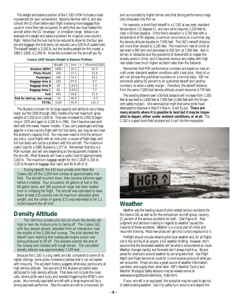The weight and balance section of the C-182's POH includes a loading example for your convenience. Become familiar with it, and also consult the CG chart before each flight involving more baggage than usual or more than two occupants, to verify that you have loaded the aircraft within the CG "envelope," or limitation range. Below is an example of a weight and balance problem for a typical cross-country flight. Notice that the fuel had to be reduced to allow for the four people and baggage (the fuel tanks can actually carry 528 lb of usable fuel). The takeoff weight is 3,100 lb, but the landing weight for this model, a 1985 C-182R, is 2,950 lb. Know the numbers for the aircraft you fly.

|                                | Weight | X | Arm   | $=$ | Moment/1000 |
|--------------------------------|--------|---|-------|-----|-------------|
| <b>Airplane (BEW)</b>          | 1800   |   | 35.2  |     | 63.3        |
| <b>Pilots (Front)</b>          | 340    |   | 37.1  |     | 12.6        |
| <b>Passengers</b>              | 340    |   | 74.1  |     | 25.2        |
| <b>Baggage Area A</b>          | 100    |   | 97.0  |     | 9.7         |
| <b>Baggage Area B</b>          | 20     |   | 116.0 |     | 2.3         |
| <b>Baggage Area C</b>          | 60     |   | 129.0 |     | 7.7         |
| Fuel                           | 450    |   | 46.6  |     | 21.0        |
| Fuel for start-up, taxi, runup | $-10$  |   | 46.6  |     | $-0.5$      |
| <b>TOTAL</b>                   | 3100   |   | 45.6  |     | 141.3       |

**Cessna 182R Sample Weight & Balance Problem**

The Skylane is known for its large capacity and ability to carry heavy loads, but the 1956 through 1961 models only had maximum gross weights of 2,550 lb or 2,650 lb. That was increased to 2,950 lb beginning in 1970 and again to 3,100 lb in 1981. Don't become overconfident with the newer, heavier models. If you carry passengers and baggage for a cross-country flight with full fuel tanks, you may be very near the airplane's capacity limit. You may even need to limit the amount you carry. Local flights with an instructor, a couple of flight bags, and full fuel tanks will not be a problem with this aircraft. The maximum useful load for a 1985 Skylane is 1,377 lb. Remember that this is a POH number, and will vary depending on the equipment installed in the aircraft. Most Skylanes will have a useful load of approximately 1100 lb. The maximum baggage weight for the C-182R is 200 lb (120 lb forward of baggage door latch and 80 lb aft of it).

During takeoff, the 435-hour private pilot lifted the Cessna 182 off the 3,200-foot runway at approximately midfield. The aircraft touched down, then became airborne again before it crashed. Four occupants, 40 gallons of fuel in the 60-gallon tanks, and 380 pounds of cargo had been loaded prior to initiating the flight. The aircraft was estimated to have been at least 210 pounds over its maximum allowable gross weight, and the center of gravity (CG) was estimated to be 1.1 inches beyond the aft limit.

## **Density Altitude**

The 160-hour private pilot did not check the density altitude or lean the mixture prior to taking off. The Cessna 182, with four people aboard, departed from an intersection near the middle of the 5,289-foot runway. The pilot aborted the takeoff upon realizing that inadequate engine power was being produced to lift off. The airplane overran the end of the runway and collided with rough terrain. The calculated density altitude was approximately 7,100 feet.

Because the C-182 is a big, beefy aircraft, compared to some of its lighter siblings, some pilots mistakenly believe that it can be loaded with impunity. The accident history suggests otherwise, particularly at high density altitude. Two percent of the Skylane accidents were attributed to high density altitude. That does not include the close calls, where pilots were lucky and avoided triggering the NTSB's computer. Any normally aspirated aircraft with a large engine will be a strong sea-level performer. Take the same aircraft to a mountain airport surrounded by higher terrain and that strong performance magically dissipates into thin air.

For example, a short-field takeoff in a C-182 at sea level, standard temperature (15 degrees C), and zero wind requires 1,518 feet to clear a 50-foot obstacle. If the field's elevation is 3,750 feet with a temperature of 95 degrees, a common occurrence on a summer day, the density altitude equates to 7,000 feet. The 182's takeoff distance will more than double to 3,185 feet. The maximum rate of climb at sea level is 865 fpm and decreases to 505 fpm at 7,000 feet. Add in terrain or obstacles and the possibility of downdrafts to negate the already anemic climb, and it becomes obvious why states with high real estate have much higher accident rates than the flatlands.

Remember that POH performance numbers are based on new aircraft under standard weather conditions with a test pilot. Most of us will not achieve the published numbers on a normal basis. ASF recommends adding 50 percent to all published takeoff and landing numbers, to allow a safety margin. Therefore, the takeoff distance from the same 7,000-foot density altitude airport becomes 4,778 feet.

The landing distance over a 50-foot obstacle will increase from 1,350 feet at sea level to 1,640 feet at 7,000 feet (2,460 feet with the 50 percent safety margin). One aeronautical myth that some pilots have attempted to disprove is that if it flew in, it will fly out. **There are many airports where it is possible to land but it may be impossible to depart, either under ambient conditions, or at all.** The C-182 is a good short-field airplane but it can't do the impossible.



## **Weather**

Weather was the leading cause of pilot-related serious accidents for the Cessna 182 as well as for the comparison aircraft group, causing 21 percent of the serious accidents for both. (See Figure 4). Poor judgment and decision-making in regards to weather caused the majority of these accidents. Weather is a crucial part of initial and recurrent training. Most new pilots will get only cursory exposure to it.

Preflight should include obtaining the local weather and, for all flights not in the vicinity of an airport, a full weather briefing. However, don't assume that the forecasted weather will be what is encountered en route. Weather changes rapidly, and forecasts don't always hold true. Be prepared for diversions around weather by carrying extra fuel. Use Flight Watch and Flight Service en route for a more precise picture of what you will encounter. Pireps are also a great source of weather information; use them, and supply them when able. ASF's *Weather Tactics* and *Weather Strategies* Safety Advisors may be viewed online at www.aopa.org/asf/publications/sa\_index.html.

If your aircraft is so equipped, the autopilot may be used to get out of deteriorating weather. Use it to safely turn around and depart the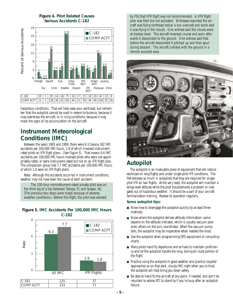

**Figure 4. Pilot Related Causes Serious Accidents C-182**

hazardous conditions. That will help ease your workload, but remember that the autopilot cannot be used in severe turbulence, because it may overstress the aircraft, or in icing conditions, because it may mask the signs of ice accumulation on the aircraft.

# **Instrument Meteorological Conditions (IMC)**

Between the years 1983 and 1999, there were 6.3 Cessna 182 IMC accidents per 100,000 IMC hours, 1.9 of which involved instrumentrated pilots on IFR flight plans. (See Figure 5). That means 4.4 IMC accidents per 100,000 IMC hours involved pilots who were not appropriately rated, or were instrument-rated but not on an IFR flight plan. The comparison group had 7.7 IMC accidents per 100,000 IMC hours, of which 1.8 were on IFR flight plans.

Note: Although the accidents occurred in instrument conditions, weather may not have been the cause of each accident.

The 100-hour noninstrument-rated private pilot was on the third leg of a trip between Tampa, FL and Sussex, NJ. (The previous two stops were made because of adverse weather conditions.) Before this flight, the pilot was advised





by FSS that VFR flight was not recommended. A VFR flight plan was filed but not activated. Witnesses reported the aircraft was flying northeast below a low overcast and some said it was flying in the clouds. One witness said the clouds were at treetop level. The aircraft reversed course and soon afterwards it descended to the ground. One witness said that before the aircraft descended it pitched up and then spun during descent. The aircraft collided with the ground in a remote wooded area.



## **Autopilot**

The autopilot is an invaluable piece of equipment that will reduce workload on long flights and under single-pilot IFR conditions. The FAA believes so much in autopilots that they are required for singlepilot IFR air taxi flights. At the very least, the autopilot will maintain a wings-level attitude while the pilot troubleshoots a problem or navigates out of hazardous weather. It should be a part of your aircraft familiarization training. Review its operation regularly.

#### **Some autopilot tips:**

- Know how to disengage the autopilot quickly by at least three methods.
- Know where the autopilot derives attitude information–some depend on the attitude indicator, which is usually vacuum powered, others on the turn coordinator. When the vacuum pump fails, the autopilot may be inoperative when needed the most.
- Use the autopilot when programming GPS equipment or consulting charts.
- Many pilots hand fly departures and arrivals to maintain proficiency and let the autopilot handle the long, boring en route portion of the flight.
- Practice using the autopilot in good weather and practice coupled approaches so on that dark, cloudy IMC night when you're tired, the autopilot will help bring you down safely.
- Be able to hand fly the aircraft at any point, if needed, and don't be reluctant to advise ATC to stand by if you're busy after an autopilot failure.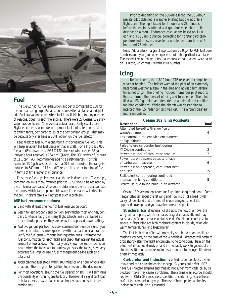

### **Fuel**

The C-182 had 71 fuel exhaustion accidents compared to 188 for the comparison group. Exhaustion occurs when all tanks are depleted. Fuel starvation occurs when fuel is available but, for any number of reasons, doesn't reach the engine. There were 27 Cessna 182 starvation accidents and 75 in comparable aircraft. Only six of those Skylane accidents were due to improper fuel tank selection or failure to switch tanks, compared to 35 of the comparison group. That may be because Skylanes have a BOTH option on the fuel selector.

Keep track of fuel burn along your flight by using a fuel log. This will help establish the fuel usage of that aircraft. For a flight at 8,000 feet and 65% power in a 1985 C-182, the zero-wind range (88 gallons/one hour reserve) is 764 nm. (Note: The POH states a fuel burn of 11.1 gph. ASF recommends adding a safety margin. For this example, 13.0 gph was used.) With a 20-knot headwind, the range is reduced to 649 nm, a 115 nm difference. It is better to think of fuel in terms of time rather than distance.

Flush-type fuel caps leak water as the seals deteriorate. These caps, common on 182s manufactured prior to 1979, should be replaced by the umbrella-type caps. Also on the older models are the bladder-type fuel tanks, which can trap and hide water if there are "wrinkles" in the cell. Integral tanks will not pose such a problem.

#### **ASF fuel recommendations:**

- Land with at least one hour of fuel reserves on board.
- Learn to lean properly and do it on every flight–most engines, contrary to what is taught in many flight schools, *may be leaned at any altitude*, provided they are below the approved power setting.
- Add two gallons per hour to book consumption numbers until you have accumulated some experience with that particular aircraft to verify the fuel burn with your leaning techniques. Estimate the fuel consumption for each flight and check that against the actual amount of fuel added. (You really only know how much fuel is on board when the tanks are full unless you stick the tanks, have very accurate fuel logs, or use a fuel management device such as a totalizer.)
- Avoid planned fuel stops within 100 miles or one hour of your destination. There is great temptation to press on to the destination.
- For most operations, leaving the fuel selector on BOTH will eliminate the possibility of running one tank dry. However, if a significant load imbalance exists, switch tanks on an hourly basis and set a timer to remind you.

Prior to departing on the 600-mile flight, the 350-hour private pilot obtained a weather briefing but did not file a flight plan. The flight lasted for 5 hours and 28 minutes before the engine sputtered and quit four miles short of its destination airport. Endurance calculations based on 11.0 gph and a 600 nm distance, correcting for nonstandard temperature and pressure, revealed a usable fuel burn time of 5 hours and 25 minutes.

Note: Add a safety margin of approximately 2.0 gph to POH fuel burn numbers until you gain some experience with that particular airplane. The accident report above states that endurance calculations were based on 11.0 gph, which was likely the POH number.

### **Icing**

Before takeoff, the 1,800-hour ATP received a complete weather briefing. The briefer warned the pilot of an extremely hazardous weather system in the area and advised him several times not to go. The briefing included numerous pilot reports that confirmed the forecast of icing and turbulence. The pilot filed an IFR flight plan and departed in an aircraft not certified for icing conditions. While the aircraft was descending to intercept the ILS, radar contact was lost. The aircraft crashed into a mountain.

| <b>Cessna 182 Icing Accidents</b>         |       |  |  |  |
|-------------------------------------------|-------|--|--|--|
| <b>Description</b>                        | Total |  |  |  |
| Attempted takeoff with snow/ice on        |       |  |  |  |
| wings/airframe.                           | 4     |  |  |  |
| Lost control, turbulence/ice encountered  |       |  |  |  |
| at high altitude.                         |       |  |  |  |
| Failed to use carburetor heat during      |       |  |  |  |
| IMC/icing conditions.                     | 3     |  |  |  |
| Power loss, lack of carburetor heat use.  |       |  |  |  |
| Power loss on descent because of lack     |       |  |  |  |
| of carburetor heat use.                   | 6     |  |  |  |
| Power loss on approach, carburetor heat   |       |  |  |  |
| not used.                                 | 15    |  |  |  |
| Stalled/lost control during continued     |       |  |  |  |
| approach in icing conditions.             | 5     |  |  |  |
| Stall/mush due to ice-buildup on airframe |       |  |  |  |

Cessna 182s are not approved for flight into icing conditions. Some hangar tales tell about the fat wing and how much of a load it will carry. Understand that the aircraft is operating outside of the approved envelope and you have become a test pilot.

**Structural Ice**: Structural ice disrupts the flow of air over the wing, tail, and prop, which increases drag, decreases lift, and may cause a significant increase in stall speed. Conditions conducive to severe in-flight icing are high moisture content in clouds, relatively warm temperatures, and freezing rain.

The first indication of ice will normally be a buildup on small protrusions, corners, or the base of the windshield. Airspeed will begin to drop shortly after the flight encounters icing conditions. Turn on the pitot heat if it's not already on and immediately work to get out of the clouds. A 10-knot speed reduction is a mandate to change altitude or divert immediately.

**Carburetor and Induction Ice**: Induction ice blocks the air intake and can cause the engine to stop. Skylanes built after 1997 have fuel-injected engines and thus do not suffer from carb ice, but a blocked intake may cause a problem. The alternate air source should resolve it. Older Skylanes are susceptible to carb icing, as are the aircraft of the comparison group. The use of heat applied at the first indication of carb icing is essential.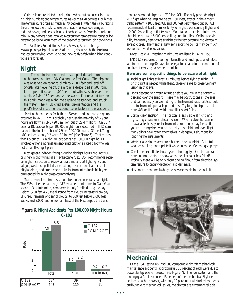Carb ice is not restricted to cold, cloudy days but can occur in clear air, high humidity, and temperatures as warm as 70 degrees F or higher. The temperature drops as much as 70 degrees F within the carburetor's throat. Follow the checklist, use carb heat whenever operating at reduced power, and be suspicious of carb ice when flying in clouds and rain. Many owners have installed a carburetor temperature gauge or ice detector device to warn them of the onset of carburetor icing conditions.

The Air Safety Foundation's Safety Advisor, *Aircraft Icing*, www.aopa.org/asf/publications/sa11.html, discusses both structural and carburetor/induction icing and how to fly safely when icing conditions are forecast.

# **Night**

The noninstrument-rated private pilot departed on a night cross-country in VMC along the East Coast. The airplane was observed on radar to climb to 2,500 feet and level off. Shortly after leveling off, the airplane descended at 500 fpm. It dropped off radar at 1,000 feet, but witnesses observed the airplane flying 150 feet above the water. During a left turn on this dark, moonless night, the airplane descended and struck the water. The NTSB cited spatial disorientation and the pilot's lack of instrument experience as factors in this accident.

Most night accidents for both the Skylane and comparison group occurred in VMC. That is probably because the majority of Skylane hours are flown in VMC (20.5 million out of 22.4 million). Only 1.7 Cessna 182 accidents per 100,000 night hours occurred in IMC, compared to the total number of 7.9 per 100,000 hours. Of the 1.7 night IMC accidents, only 0.2 were IFR in IMC (See Figure 6). That means that 1.5 out of 1.7 night IMC accidents per 100,000 night hours involved either a noninstrument-rated pilot or a rated pilot who was not on an IFR flight plan.

Most general aviation flying is during daylight hours and, not surprisingly, night flying skills may become rusty. ASF recommends regular night instruction to review aircraft and airport lighting, vision, fatigue, weather, spatial disorientation, obstruction clearance, takeoffs/landings, and emergencies. An instrument rating is highly recommended for night cross-country flying.

Your personal minimums should be more conservative at night. The FARs raise the basic night VFR weather minimums in Class G airspace to 3 statute miles, compared to only 1 mile during the day. Below 1,200 feet AGL, the distance from clouds increases from day VFR requirements of clear of clouds, to 500 feet below, 1,000 feet above, and 2,000 feet horizontal. East of the Mississippi, the transi-



#### **Figure 6. Night Accidents Per 100,000 Night Hours C-182**

tion areas around airports at 700 feet AGL effectively preclude night VFR flight when ceilings are below 1,500 feet, except in the airport traffic pattern (1000 feet AGL and 500 feet below the clouds). ASF recommends at least 5 nm visibility for night cross-country flights and a 2,000-foot ceiling in flat terrain. Mountainous terrain minimums should be at least a 5,000-foot ceiling and 10 miles. Ceiling and visibility frequently deteriorate at night as the temperature and dewpoint spread closes. *The weather between reporting points may be much worse than what is observed*.

Note: Basic VFR weather minimums are listed in FAR 91.155.

FAR 61.57 requires three night takeoffs and landings to a full stop, within the preceding 90 days, to be legal to act as pilot in command of an aircraft carrying passengers at night.

#### **Here are some specific things to be aware of at night:**

- Avoid bright lights at least 30 minutes before flying at night. If bright light is needed while flying, close one eye to preserve night vision in that eye.
- $\blacksquare$  Don't descend to pattern altitude before you are in the pattern  $$ descend over the airport. There may be obstructions in the area that cannot easily be seen at night. Instrument-rated pilots should use instrument approach procedures. Try to go to airports that have VASI or ILS and avoid unfamiliar short fields.
- Spatial disorientation. The horizon is less visible at night, and lights may create an artificial horizon. When a clear horizon is unavailable, trust your instruments. Your body may feel as if you're turning when you are actually in straight and level flight. Many pilots have gotten themselves in dangerous situations by ignoring the instruments.
- Weather and clouds are much harder to see at night. Get a full weather briefing, and update it while en route. Get and give pireps.
- Check the aircraft electrical system thoroughly. Does the aircraft have an annunciator to show when the alternator has failed? Typically, there will be only about one half hour from electrical system failure to battery depletion and darkness.
- Have more than one flashlight easily accessible in the cockpit.



# **Mechanical**

Of the 134 Cessna 182 and 308 comparable aircraft mechanical/ maintenance accidents, approximately 50 percent of each were due to powerplant/propeller issues. (See Figure 7). The fuel system and the landing gear/brakes caused 15 percent of the mechanical Skylane accidents each. However, with only 10 percent of all studied accidents attributable to mechanical issues, the aircraft are extremely reliable.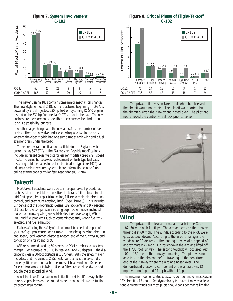

**Figure 7. System Involvement C-182**

The newer Cessna 182s contain some major mechanical changes. The new Skylane model C-182S, manufactured beginning in 1997, is powered by a fuel-injected, 230 hp Textron-Lycoming IO-540 engine, instead of the 230 hp Continental O-470s used in the past. The new engines are therefore not susceptible to carburetor ice. Induction icing is a possibility, but rare.

Another large change with the new aircraft is the number of fuel drains. There are now five under each wing, and two in the belly, whereas the older models had one sump under each wing and a fuel strainer drain under the belly.

There are several modifications available for the Skylane, which currently has 577 STCs in the FAA registry. Possible modifications include increased gross weights for earlier models (pre-1972), speed mods, increased horsepower, replacement of flush-type fuel caps, installing solid fuel tanks to replace the bladder-type (pre-1979), and adding a backup vacuum system. More information can be found online at www.aopa.org/pilot/features/skylane0012.html.

# **Takeoff**

Most takeoff accidents were due to improper takeoff procedures, such as failure to establish a positive climb rate, failure to attain takeoff/liftoff speed, improper trim setting, failure to maintain directional control, and premature rotation/liftoff. (See Figure 8). This includes 6.7 percent of the pilot-related Cessna 182 accidents and 9.7 percent of those for the comparison aircraft group. Other factors included inadequate runway, wind, gusts, high elevation, overweight, VFR in IMC, and fuel problems such as contaminated fuel, wrong fuel tank selected, and fuel exhaustion.

Factors affecting the safety of takeoff must be checked as part of your preflight procedure; for example, runway lengths, wind direction and speed, local weather, obstacles at each end of the runway(s), and condition of aircraft and pilot.

ASF recommends adding 50 percent to POH numbers, as a safety margin. For example, at 3,100 lb, sea level, and 20 degrees C, the distance to clear a 50-foot obstacle is 1,570 feet. With the safety margin included, that increases to 2,355 feet. Wind affects the takeoff distance by 10 percent for each nine knots of headwind and 10 percent for each two knots of tailwind. Use half the predicted headwind and double the predicted tailwind.

Abort the takeoff if an abnormal situation exists. It's always better to resolve problems on the ground rather than complicate a situation by becoming airborne.

**Figure 8. Critical Phase of Flight–Takeoff C-182**



The private pilot was on takeoff roll when he observed the aircraft would not rotate. The takeoff was aborted, but the aircraft overran the runway and nosed over. The pilot had not removed the control wheel lock prior to takeoff.



# **Wind**

The private pilot flew a normal approach in the Cessna 182, 70 mph with full flaps. The airplane crossed the runway threshold at 60 mph. The winds, according to the pilot, were gusty at touchdown. According to the airport manager, the winds were 90 degrees to the landing runway with a speed of approximately 45 mph. On touchdown the airplane lifted off the 1,735-foot runway. The second touchdown occurred with 100 to 150 feet of the runway remaining. The pilot was not able to stop the airplane before traveling off the departure end of the runway where the airplane nosed over. The demonstrated crosswind component of this aircraft was 12 mph with no flaps and 11 mph with full flaps.

The maximum demonstrated crosswind component for most Cessna 182 aircraft is 15 knots. Aerodynamically, the aircraft may be able to handle greater winds but most pilots should consider that as limiting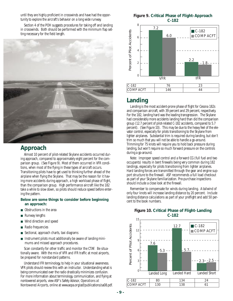until they are highly proficient in crosswinds and have had the opportunity to explore the aircraft's behavior on a long wide runway.

Section 4 of the POH suggests procedures for taking off and landing in crosswinds. Both should be performed with the minimum flap setting necessary for the field length.



# **Approach**

Almost 10 percent of pilot-related Skylane accidents occurred during approach, compared to approximately eight percent for the comparison group. (See Figure 9). Most of them occurred in VFR conditions, when most of the flying in these types of aircraft occurs. Transitioning pilots have to get used to thinking further ahead of the airplane when flying the Skylane. That may be the reason for it having more accidents during approach, a high workload phase of flight, than the comparison group. High performance aircraft like the 182 take a while to slow down, so pilots should reduce speed before entering the pattern.

#### **Below are some things to consider before beginning an approach:**

- Obstructions in the area
- Runway lengths
- Wind direction and speed
- Radio frequencies
- Sectional, approach charts, taxi diagrams
- Instrument pilots must additionally be aware of landing minimums and missed approach procedures.

Scan constantly for other traffic and monitor the CTAF. Be situationally aware. With the mix of VFR and IFR traffic at most airports, be prepared for nonstandard patterns.

Understand IFR terminology, to help in your situational awareness. VFR pilots should review this with an instructor. Understanding what is being communicated over the radio drastically minimizes confusion. For more information about terminology, communication, and flying at nontowered airports, view ASF's Safety Advisor, *Operations at Nontowered Airports*, online at www.aopa.org/asf/publications/sa08.pdf.

**Figure 9. Critical Phase of Flight–Approach C-182**



# **Landing**

Landing is the most accident-prone phase of flight for Cessna 182s and comparison aircraft, with 39 percent and 29 percent, respectively. For the 182, landing hard was the leading transgression. The Skylane had considerably more accidents landing hard than did the comparison group (12.7 percent of pilot-related C-182 accidents, compared to 5.7 percent). (See Figure 10). This may be due to the heavy feel of the elevator control, especially for pilots transitioning to the Skylane from lighter airplanes. Substantial trim is required during landing, but don't trim so much that you will not be able to handle a go-around. Trimming for 75 knots will require you to hold back pressure during landing, but won't require so much forward pressure on the controls during a go-around.

Note: Improper speed control and a forward CG (full fuel and two occupants) results in bent firewalls being very common during 182 landings, especially for pilots transitioning from lighter airplanes. Hard landing forces are transmitted through the gear and engine support structure to the firewall. ASF recommends a full load checkout as part of your Skylane familiarization. Pre-purchase inspections should include a close look at the firewall.

Remember to compensate for winds during landing. A tailwind of only four knots will increase landing distance by 20 percent. Include landing distance calculations as part of your preflight and add 50 percent to the book numbers.



#### **Figure 10. Critical Phase of Flight–Landing C-182**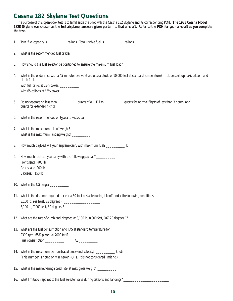# **Cessna 182 Skylane Test Questions**

The purpose of this open-book test is to familiarize the pilot with the Cessna 182 Skylane and its corresponding POH. **The 1985 Cessna Model 182R Skylane was chosen as the test airplane; answers given pertain to that aircraft. Refer to the POH for your aircraft as you complete the test.**

| 1. | Total fuel capacity is ________________ gallons. Total usable fuel is _____________ gallons.                                                                                        |  |  |  |  |  |  |  |
|----|-------------------------------------------------------------------------------------------------------------------------------------------------------------------------------------|--|--|--|--|--|--|--|
| 2. | What is the recommended fuel grade?                                                                                                                                                 |  |  |  |  |  |  |  |
| 3. | How should the fuel selector be positioned to ensure the maximum fuel load?                                                                                                         |  |  |  |  |  |  |  |
| 4. | What is the endurance with a 45-minute reserve at a cruise altitude of 10,000 feet at standard temperature? Include start-up, taxi, takeoff, and<br>climb fuel.                     |  |  |  |  |  |  |  |
|    | With full tanks at 65% power: ____________<br>With 65 gallons at 65% power: _____________                                                                                           |  |  |  |  |  |  |  |
| 5. | Do not operate on less than _______________ quarts of oil. Fill to _____________ quarts for normal flights of less than 3 hours, and ______________<br>quarts for extended flights. |  |  |  |  |  |  |  |
| 6. | What is the recommended oil type and viscosity?                                                                                                                                     |  |  |  |  |  |  |  |
| 7. | What is the maximum landing weight? _____________                                                                                                                                   |  |  |  |  |  |  |  |
| 8. | How much payload will your airplane carry with maximum fuel? _____________ Ib                                                                                                       |  |  |  |  |  |  |  |
| 9. | How much fuel can you carry with the following payload? __________<br>Front seats: 400 lb<br>Rear seats: 200 lb<br>Baggage: 150 lb                                                  |  |  |  |  |  |  |  |
|    | 10. What is the CG range? ___________                                                                                                                                               |  |  |  |  |  |  |  |
|    | 11. What is the distance required to clear a 50-foot obstacle during takeoff under the following conditions:<br>3,100 lb, 7,000 feet, 80 degrees F                                  |  |  |  |  |  |  |  |
|    | 12. What are the rate of climb and airspeed at 3,100 lb, 8,000 feet, OAT 20 degrees C? _________                                                                                    |  |  |  |  |  |  |  |
|    | 13. What are the fuel consumption and TAS at standard temperature for<br>2300 rpm, 65% power, at 7000 feet?<br>Fuel consumption ___________<br>$\mathsf{TAS} \_\_\_\_\_\_\_\_$      |  |  |  |  |  |  |  |
|    | 14. What is the maximum demonstrated crosswind velocity? ____________ knots<br>(This number is noted only in newer POHs. It is not considered limiting.)                            |  |  |  |  |  |  |  |
|    | 15. What is the maneuvering speed (Va) at max gross weight? ____________                                                                                                            |  |  |  |  |  |  |  |
|    | 16. What limitation applies to the fuel selector valve during takeoffs and landings? __________                                                                                     |  |  |  |  |  |  |  |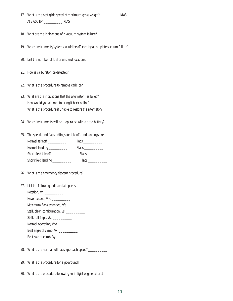- 17. What is the best glide speed at maximum gross weight? \_\_\_\_\_\_\_\_\_\_ KIAS At 2,600 lb? \_\_\_\_\_\_\_\_\_\_ KIAS
- 18. What are the indications of a vacuum system failure?
- 19. Which instruments/systems would be affected by a complete vacuum failure?
- 20. List the number of fuel drains and locations.
- 21. How is carburetor ice detected?
- 22. What is the procedure to remove carb ice?
- 23. What are the indications that the alternator has failed? How would you attempt to bring it back online? What is the procedure if unable to restore the alternator?
- 24. Which instruments will be inoperative with a dead battery?
- 25. The speeds and flaps settings for takeoffs and landings are: Normal takeoff \_\_\_\_\_\_\_\_\_\_\_\_\_\_ Flaps \_\_\_\_\_\_\_\_\_\_\_ Normal landing \_\_\_\_\_\_\_\_\_\_\_\_ Flaps \_\_\_\_\_\_\_\_\_ Short-field takeoff \_\_\_\_\_\_\_\_\_\_\_\_\_ Flaps \_\_\_\_\_\_\_\_\_\_\_ Short-field landing \_\_\_\_\_\_\_\_\_\_\_\_\_ Flaps \_\_\_\_\_\_\_\_\_\_
- 26. What is the emergency descent procedure?
- 27. List the following indicated airspeeds:

Rotation, Vr \_\_\_\_\_\_\_\_\_\_

- Never exceed, Vne \_\_\_\_\_\_\_\_\_\_\_
- Maximum flaps extended, Vfe \_\_\_\_\_\_\_\_\_\_\_\_\_
- Stall, clean configuration, Vs \_\_\_\_\_\_\_\_\_\_\_\_\_
- Stall, full flaps, Vso \_\_\_\_\_\_\_\_\_\_\_\_\_
- Normal operating, Vno \_\_\_\_\_\_\_\_\_\_\_\_
- Best angle of climb, Vx \_\_\_\_\_\_\_\_\_\_\_\_
- Best rate of climb, Vy \_\_\_\_\_\_\_\_\_\_\_\_
- 28. What is the normal full flaps approach speed?
- 29. What is the procedure for a go-around?
- 30. What is the procedure following an inflight engine failure?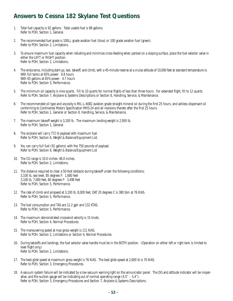# **Answers to Cessna 182 Skylane Test Questions**

- 1. Total fuel capacity is 92 gallons. Total usable fuel is 88 gallons. Refer to POH, Section 1, General.
- 2. The recommended fuel grade is 100LL grade aviation fuel (blue) or 100 grade aviation fuel (green). Refer to POH, Section 2, Limitations.
- 3. To ensure maximum fuel capacity when refueling and minimize cross-feeding when parked on a sloping surface, place the fuel selector valve in either the LEFT or RIGHT position. Refer to POH, Section 2, Limitations.
- 4. The endurance, including start-up, taxi, takeoff, and climb, with a 45-minute reserve at a cruise altitude of 10,000 feet at standard temperature is: With full tanks at 65% power: 6.8 hours With 65 gallons at 65% power: 4.7 hours Refer to POH, Section 5, Performance.
- 5. The minimum oil capacity is nine quarts. Fill to 10 quarts for normal flights of less than three hours. For extended flight, fill to 12 quarts. Refer to POH, Section 7, Airplane & Systems Descriptions or Section 8, Handling, Service, & Maintenance.
- 6. The recommended oil type and viscosity is MIL-L-6082 aviation grade straight mineral oil during the first 25 hours, and ashless dispersant oil conforming to Continental Motors Specification MHS-24 and all revisions thereto after the first 25 hours. Refer to POH, Section 1, General or Section 8, Handling, Service, & Maintenance.
- 7. The maximum takeoff weight is 3,100 lb. The maximum landing weight is 2,950 lb. Refer to POH, Section 1, General.
- 8. The airplane will carry 772 lb payload with maximum fuel. Refer to POH, Section 6, Weight & Balance/Equipment List.
- 9. You can carry full fuel (92 gallons) with the 750 pounds of payload. Refer to POH, Section 6, Weight & Balance/Equipment List
- 10. The CG range is 33.0 inches–46.0 inches. Refer to POH, Section 2, Limitations.
- 11. The distance required to clear a 50-foot obstacle during takeoff under the following conditions: 3,100 lb, sea level, 85 degrees F: 1,680 feet 3,100 lb, 7,000 feet, 80 degrees F: 3,498 feet Refer to POH, Section 5, Performance.
- 12. The rate of climb and airspeed at 3,100 lb, 8,000 feet, OAT 20 degrees C is 380 fpm at 76 KIAS. Refer to POH, Section 5, Performance.
- 13. The fuel consumption and TAS are 11.2 gph and 132 KTAS. Refer to POH, Section 5, Performance.
- 14. The maximum demonstrated crosswind velocity is 15 knots. Refer to POH, Section 4, Normal Procedures.
- 15. The maneuvering speed at max gross weight is 111 KIAS. Refer to POH, Section 2, Limitations or Section 4, Normal Procedures.
- 16. During takeoffs and landings, the fuel selector valve handle must be in the BOTH position. (Operation on either left or right tank is limited to level flight only.) Refer to POH, Section 2, Limitations.
- 17. The best glide speed at maximum gross weight is 76 KIAS. The best glide speed at 2,600 lb is 70 KIAS. Refer to POH, Section 3, Emergency Procedures.
- 18. A vacuum system failure will be indicated by a low vacuum warning light on the annunciator panel. The DG and attitude indicator will be inoperative, and the suction gauge will be indicating out of normal operating range  $(4.5<sup>n</sup> - 5.4<sup>n</sup>)$ . Refer to POH, Section 3, Emergency Procedures and Section 7, Airplane & Systems Descriptions.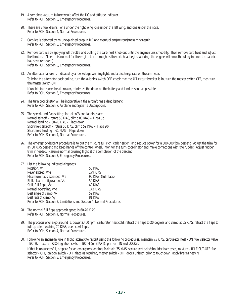- 19. A complete vacuum failure would affect the DG and attitude indicator. Refer to POH, Section 3, Emergency Procedures.
- 20. There are 3 fuel drains: one under the right wing, one under the left wing, and one under the nose. Refer to POH, Section 4, Normal Procedures.
- 21. Carb ice is detected by an unexplained drop in MP, and eventual engine roughness may result. Refer to POH, Section 3, Emergency Procedures.
- 22. Remove carb ice by applying full throttle and pulling the carb heat knob out until the engine runs smoothly. Then remove carb heat and adjust the throttle. (Note: It is normal for the engine to run rough as the carb heat begins working–the engine will smooth out again once the carb ice has been removed.) Refer to POH, Section 3, Emergency Procedures.
- 23. An alternator failure is indicated by a low voltage warning light, and a discharge rate on the ammeter. To bring the alternator back online, turn the avionics switch OFF, check that the ALT circuit breaker is in, turn the master switch OFF, then turn the master switch ON. If unable to restore the alternator, minimize the drain on the battery and land as soon as possible. Refer to POH, Section 3, Emergency Procedures.
- 24. The turn coordinator will be inoperative if the aircraft has a dead battery. Refer to POH, Section 7, Airplane and Systems Descriptions.
- 25. The speeds and flap settings for takeoffs and landings are: Normal takeoff – rotate 50 KIAS, climb 80 KIAS – Flaps up Normal landing – 60-70 KIAS – Flaps down Short-field takeoff – rotate 50 KIAS, climb 59 KIAS – Flaps 20º Short-field landing – 61 KIAS – Flaps down Refer to POH, Section 4, Normal Procedures.
- 26. The emergency descent procedure is to put the mixture full rich, carb heat on, and reduce power for a 500-800 fpm descent. Adjust the trim for an 80 KIAS descent and keep hands off the control wheel. Monitor the turn coordinator and make corrections with the rudder. Adjust rudder trim if needed. Resume normal cruising flight at the completion of the descent. Refer to POH, Section 3, Emergency Procedures.
- 27. List the following indicated airspeeds:

| Rotation, Vr                                                           | 50 KIAS              |  |  |  |
|------------------------------------------------------------------------|----------------------|--|--|--|
| Never exceed, Vne                                                      | 179 KIAS             |  |  |  |
| Maximum flaps extended, Vfe                                            | 95 KIAS (full flaps) |  |  |  |
| Stall, clean configuration, Vs                                         | 50 KIAS              |  |  |  |
| Stall, full flaps, Vso                                                 | 40 KIAS              |  |  |  |
| Normal operating, Vno                                                  | 143 KIAS             |  |  |  |
| Best angle of climb, Vx                                                | 59 KIAS              |  |  |  |
| Best rate of climb, Vy                                                 | 81 KIAS              |  |  |  |
| Refer to POH, Section 2, Limitations and Section 4, Normal Procedures. |                      |  |  |  |

- 28. The normal full flaps approach speed is 60-70 KIAS. Refer to POH, Section 4, Normal Procedures.
- 29. The procedure for a go-around is: power 2,400 rpm, carburetor heat cold, retract the flaps to 20 degrees and climb at 55 KIAS, retract the flaps to full up after reaching 70 KIAS, open cowl flaps. Refer to POH, Section 4, Normal Procedures.
- 30. Following an engine failure in flight, attempt to restart using the following procedures: maintain 75 KIAS, carburetor heat ON, fuel selector valve - BOTH, mixture - RICH, ignition switch - BOTH (or START), primer - IN and LOCKED.

If that is unsuccessful, prepare for an emergency landing. Maintain 75 KIAS, secure seat belts/shoulder harnesses, mixture - IDLE CUT-OFF, fuel selector - OFF, ignition switch - OFF, flaps as required, master switch - OFF, doors unlatch prior to touchdown, apply brakes heavily. Refer to POH, Section 3, Emergency Procedures.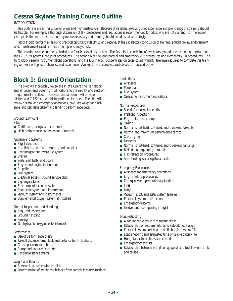# **Cessna Skylane Training Course Outline**

### INTRODUCTION

This outline is a training guide for pilots and flight instructors. Because of variables involving pilot experience and proficiency, the training should be flexible. For example, a thorough discussion of IFR procedures and regulations is recommended for pilots who are not current. For more proficient pilots this much instruction may not be necessary and training should be adjusted accordingly.

Pilots should perform all tasks to practical test standards (PTS) and receive, at the satisfactory conclusion of training, a flight review endorsement and, if instrument-rated, an instrument proficiency check.

This training course outline is divided into four blocks of instruction. The first block, consisting of two hours ground orientation, concentrates on the C-182, its systems, and pilot procedures. The second block reviews normal and emergency VFR procedures and elementary IFR procedures. The third block reviews instrument flight operations, and the fourth block concentrates on cross-country flight. The time required to complete this training will vary with pilot proficiency and experience. Average time to complete each block is indicated below.

# **Block 1: Ground Orientation**

The pilot will thoroughly review the *Pilot's Operating Handbook* and all documents covering modifications to the aircraft and electronic equipment installed. In-cockpit familiarization will be accomplished and C-182 accident history will be discussed. The pilot will review normal and emergency operations, calculate weight and balance, and calculate takeoff and landing performance data.

## Ground: 2.0 hours

Pilot

- Certificates, ratings, and currency
- High performance endorsement, if needed

#### Airplane and Systems

- Flight controls
- Installed instruments, avionics, and autopilot
- Landing gear and hydraulic system
- Brakes
- Seats, seat belts, and doors
- Engine and engine instruments
- Propeller
- Fuel system
- Electrical system, ground service plug
- Lighting systems
- Environmental control system
- Pitot-static system and instruments
- Vacuum system and instruments
- Supplemental oxygen system, if installed

#### Aircraft Inspections and Handling

- Required inspections
- Ground handling
- Fueling
- Oil, hydraulic, oxygen replenishment

#### **Performance**

- Use of performance charts
- Takeoff distance, time, fuel, and distance to climb charts
- Cruise performance charts
- Range and endurance charts
- Landing distance charts

#### Weight and Balance

- Review of aircraft equipment list
- Determination of weight and balance from sample loading situations

### Limitations

- Airspeeds
- Powerplant
- Fuel system
- Operating instrument indications

Normal Procedures

- Speeds for normal operation
- Preflight inspection
- Engine start and runup
- Taxiing
- Normal, short-field, soft-field, and crosswind takeoffs
- Normal and maximum performance climbs
- Cruising flight
- Descents
- Normal, short-field, soft-field, and crosswind landings
- Balked landings and go-arounds
- Flap retraction procedures
- After landing, securing the aircraft

#### Emergency Procedures

- Airspeeds for emergency operations
- Engine failure procedures
- Emergency and precautionary landings
- Fires
- Icing
- Vacuum, pitot, and static system failures
- Electrical system malfunctions
- Emergency descents
- Inadvertent door opening in flight

#### Troubleshooting

- Autopilot and electric trim malfunctions
- Relationship of vacuum failures to autopilot operation
- Electrical system and what to do if charging system fails
- Load shedding and estimated time of usable battery life
- Hung starter indications and remedies
- Emergency checklists
- Relationship between EGT, if so equipped, and fuel flow on climb and cruise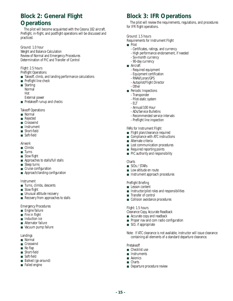# **Block 2: General Flight Operations**

The pilot will become acquainted with the Cessna 182 aircraft. Preflight, in-flight, and postflight operations will be discussed and practiced.

Ground: 1.0 hour Weight and Balance Calculation Review of Normal and Emergency Procedures Determination of PIC and Transfer of Control

Flight: 2.5 hours Preflight Operations

- Takeoff, climb, and landing performance calculations
- Preflight line check
- Starting: Normal Hot External power
- Pretakeoff runup and checks

Takeoff Operations

- Normal
- Rejected
- Crosswind
- Instrument
- Short-field
- Soft-field

Airwork

- Climbs
- Turns
- Slow flight
- Approaches to stalls/full stalls
- Steep turns
- Cruise configuration
- Approach/landing configuration

Instrument

- Turns, climbs, descents
- Slow flight
- Unusual attitude recovery
- Recovery from approaches to stalls

Emergency Procedures

- Engine failure
- Fire in flight
- Induction ice
- Alternator failure
- Vacuum pump failure

Landings

- Normal
- Crosswind
- No flap
- Short-field
- Soft-field
- Balked (go-around)
- Failed engine

# **Block 3: IFR Operations**

The pilot will review the requirements, regulations, and procedures for IFR flight operations.

Ground: 1.5 hours

Requirements for Instrument Flight

- Pilot
	- Certificates, ratings, and currency
	- High performance endorsement, if needed
	- Six-month currency
	- 90-day currency
- Aircraft
	- Required equipment
	- Equipment certification
	- RNAV/Loran/GPS
	- Autopilot/Flight Director
	- Other
- Periodic Inspections
	- Transponder
	- Pilot-static system
	- ELT
	- Annual/100 Hour
	- ADs/Service Bulletins
	- Recommended service intervals
	- Preflight line inspection

#### FARs for Instrument Flight

- Flight plan/clearance required
- Compliance with ATC instructions
- Alternate criteria
- Lost communication procedures
- Required reporting points
- PIC authority and responsibility

#### **Charts**

- SIDs / STARs
- Low altitude en route
- Instrument approach procedures

#### Preflight Briefing

- Lesson content
- Instructor/pilot roles and responsibilities
- Transfer of control
- Collision avoidance procedures

#### Flight: 1.5 hours

- Clearance Copy, Accurate Readback
- Accurate copy and readback
- Proper nav and com radio configuration
- SID, if appropriate

Note: If ATC clearance is not available, instructor will issue clearance containing all elements of a standard departure clearance.

#### Pretakeoff

- Checklist use
- Instruments
- Avionics
- Charts
- Departure procedure review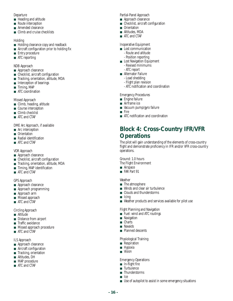#### Departure

- Heading and altitude
- Route interception
- Amended clearance
- Climb and cruise checklists

### Holding

- Holding clearance copy and readback
- Aircraft configuration prior to holding fix
- Entry procedure
- ATC reporting

### NDB Approach

- Approach clearance
- Checklist, aircraft configuration
- Tracking, orientation, altitude, MDA
- Interception of bearings
- Timing, MAP
- ATC coordination

### Missed Approach

- Climb, heading, altitude
- Course interception
- Climb checklist
- ATC and CTAF

DME Arc Approach, if available

- Arc interception
- Orientation
- Radial identification
- ATC and CTAF

### VOR Approach

- Approach clearance
- Checklist, aircraft configuration
- Tracking, orientation, altitude, MDA
- Timing, MAP identification
- ATC and CTAF

### GPS Approach

- Approach clearance
- Approach programming
- Approach arm
- Missed approach
- ATC and CTAF

### Circling Approach

- Altitude
- Distance from airport
- Traffic avoidance
- Missed approach procedure
- ATC and CTAF

### ILS Approach

- Approach clearance
- Aircraft configuration
- Tracking, orientation
- Altitudes, DH
- MAP procedure ■ ATC and CTAF
- Partial-Panel Approach
- Approach clearance
- Checklist, aircraft configuration
- Orientation
- Altitudes, MDA
- ATC and CTAF

### Inoperative Equipment

- Lost communication - Route and altitude
	- Position reporting
- Lost Navigation Equipment
- Revised minimums - ATC report
- Alternator Failure
	- Load shedding
	- Flight plan revision
	- ATC notification and coordination

### Emergency Procedures

- Engine failure
- Airframe ice
- Vacuum pump/gyro failure
- Fire
- ATC notification and coordination

# **Block 4: Cross-Country IFR/VFR Operations**

The pilot will gain understanding of the elements of cross-country flight and demonstrate proficiency in IFR and/or VFR cross-country operations.

Ground: 1.0 hours

- The Flight Environment
- Airspace
- FAR Part 91

Weather

- The atmosphere
- Winds and clear air turbulence
- Clouds and thunderstorms
- Icing
- Weather products and services available for pilot use

### Flight Planning and Navigation

- Fuel: wind and ATC routings
- Navigation
- Charts
- Navaids
- Planned descents

#### Physiological Training

- Respiration
- Hypoxia
- Vision

#### Emergency Operations

- In-flight fire
- Turbulence
- Thunderstorms
- Ice

**- 16 -**

■ Use of autopilot to assist in some emergency situations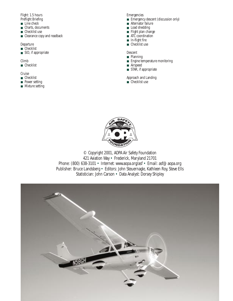### Flight: 1.5 hours Preflight Briefing

- Line check
- Charts, documents
- Checklist use
- Clearance copy and readback

### Departure

- Checklist ■ SID, if appropriate
- 

### Climb

■ Checklist

### Cruise

- Checklist
- Power setting
- Mixture setting

### Emergencies

- Emergency descent (discussion only)
- Alternator failure
- Load shedding
- Flight plan change ■ ATC coordination
- In-flight fire
- Checklist use

### Descent

### ■ Planning

- Engine temperature monitoring
- Airspeed
- STAR, if appropriate

### Approach and Landing

■ Checklist use



© Copyright 2001, AOPA Air Safety Foundation 421 Aviation Way • Frederick, Maryland 21701 Phone: (800) 638-3101 • Internet: www.aopa.org/asf • Email: asf@aopa.org Publisher: Bruce Landsberg • Editors: John Steuernagle, Kathleen Roy, Steve Ells Statistician: John Carson • Data Analyst: Dorsey Shipley

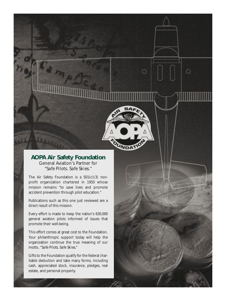### **AOPA Air Safety Foundation** General Aviation's Partner for *"Safe Pilots. Safe Skies."*

 $\bigcirc$ 

O

The Air Safety Foundation is a 501(c)(3) nonprofit organization chartered in 1950 whose mission remains "to save lives and promote accident prevention through pilot education."

Publications such as this one just reviewed are a direct result of this mission.

Every effort is made to keep the nation's 630,000 general aviation pilots informed of issues that promote their well-being.

This effort comes at great cost to the Foundation. Your philanthropic support today will help the organization continue the true meaning of our motto, "*Safe Pilots. Safe Skies.*"

Gifts to the Foundation qualify for the federal charitable deduction and take many forms, including cash, appreciated stock, insurance, pledges, real estate, and personal property.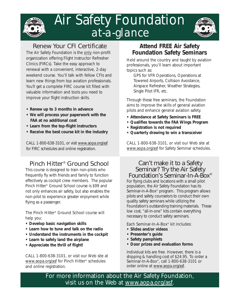

# Air Safety Foundation *at-a-glance*



# Renew Your CFI Certificate

The Air Safety Foundation is the only non-profit organization offering Flight Instructor Refresher Clinics (FIRCs). Take the easy approach to renewal with a convenient, interactive, 2-day weekend course. You'll talk with fellow CFIs and learn new things from top aviation professionals. You'll get a complete FIRC course kit filled with valuable information and tools you need to improve your flight instruction skills.

- **Renew up to 3 months in advance**
- **We will process your paperwork with the FAA at no additional cost**
- **Learn from the top-flight instructors**
- **Receive the best course kit in the industry**

CALL 1-800-638-3101, or visit www.aopa.org/asf for FIRC schedules and online registration.

# Pinch Hitter® Ground School

This course is designed to train non-pilots who frequently fly with friends and family to function effectively as cockpit crew members. The popular Pinch Hitter® Ground School course is \$99 and not only enhances air safety, but also enables the non-pilot to experience greater enjoyment while flying as a passenger.

The Pinch Hitter® Ground School course will help you:

- **Develop basic navigation skills**
- **Learn how to tune and talk on the radio**
- **Understand the instruments in the cockpit**
- **Learn to safely land the airplane**
- **Appreciate the thrill of flight!**

CALL 1-800-638-3101, or visit our Web site at www.aopa.org/asf for Pinch Hitter® schedules and online registration.

# **Attend FREE Air Safety Foundation Safety Seminars**

Held around the country and taught by aviation professionals, you'll learn about important topics such as:

GPS for VFR Operations, Operations at Towered Airports, Collision Avoidance, Airspace Refresher, Weather Strategies, Single Pilot IFR, etc.

Through these free seminars, the Foundation aims to improve the skills of general aviation pilots and enhance general aviation safety.

- **Attendance at Safety Seminars is FREE**
- **Qualifies towards the FAA Wings Program**
- **Registration is not required**
- **Quarterly drawing to win a transceiver**

CALL 1-800-638-3101, or visit our Web site at www.aopa.org/asf for Safety Seminar schedules.

### Can't make it to a Safety Seminar? Try the Air Safety Foundation's Seminar-In-A-Box®

For flying clubs and locations with a small pilot population, the Air Safety Foundation has its Seminar-in-A-Box® program. This program allows pilots and safety counselors to conduct their own quality safety seminars while utilizing the Foundation's outstanding training materials. These low cost, "all-in-one" kits contain everything necessary to conduct safety seminars.

Each Seminar-In-A-Box® kit includes:

- **Slides and/or videos**
- **Presenter's guide**
- **Safety pamphlets**
- **Door prizes and evaluation forms**

Individual kits are free. However, there is a shipping & handling cost of \$24.95. To order a Seminar-In-A-Box®, call 1-800-638-3101 or order online at www.aopa.org/asf.

For more information about the Air Safety Foundation, visit us on the Web at www.aopa.org/asf.